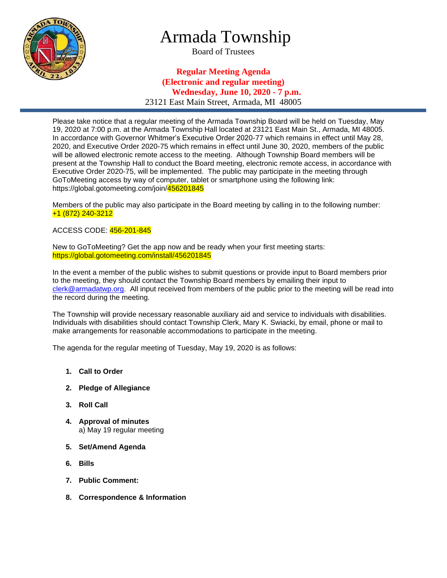

# Armada Township

Board of Trustees

## **Regular Meeting Agenda (Electronic and regular meeting) Wednesday, June 10, 2020 - 7 p.m.** 23121 East Main Street, Armada, MI 48005

Please take notice that a regular meeting of the Armada Township Board will be held on Tuesday, May 19, 2020 at 7:00 p.m. at the Armada Township Hall located at 23121 East Main St., Armada, MI 48005. In accordance with Governor Whitmer's Executive Order 2020-77 which remains in effect until May 28, 2020, and Executive Order 2020-75 which remains in effect until June 30, 2020, members of the public will be allowed electronic remote access to the meeting. Although Township Board members will be present at the Township Hall to conduct the Board meeting, electronic remote access, in accordance with Executive Order 2020-75, will be implemented. The public may participate in the meeting through GoToMeeting access by way of computer, tablet or smartphone using the following link: https://global.gotomeeting.com/join/456201845

Members of the public may also participate in the Board meeting by calling in to the following number: +1 (872) 240-3212

#### ACCESS CODE: 456-201-845

New to GoToMeeting? Get the app now and be ready when your first meeting starts: https://global.gotomeeting.com/install/456201845

In the event a member of the public wishes to submit questions or provide input to Board members prior to the meeting, they should contact the Township Board members by emailing their input to [clerk@armadatwp.org.](mailto:clerk@armadatwp.org) All input received from members of the public prior to the meeting will be read into the record during the meeting.

The Township will provide necessary reasonable auxiliary aid and service to individuals with disabilities. Individuals with disabilities should contact Township Clerk, Mary K. Swiacki, by email, phone or mail to make arrangements for reasonable accommodations to participate in the meeting.

The agenda for the regular meeting of Tuesday, May 19, 2020 is as follows:

- **1. Call to Order**
- **2. Pledge of Allegiance**
- **3. Roll Call**
- **4. Approval of minutes**  a) May 19 regular meeting
- **5. Set/Amend Agenda**
- **6. Bills**
- **7. Public Comment:**
- **8. Correspondence & Information**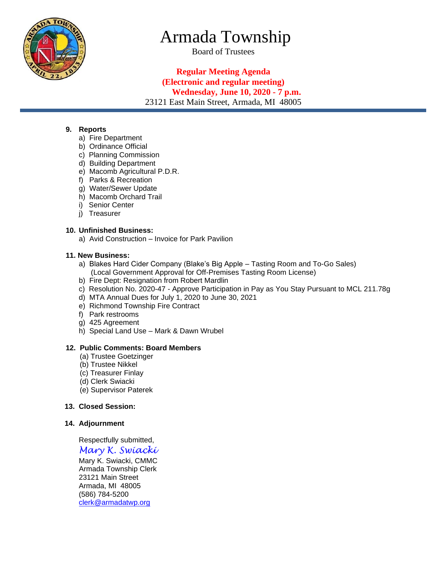

# Armada Township

Board of Trustees

## **Regular Meeting Agenda (Electronic and regular meeting) Wednesday, June 10, 2020 - 7 p.m.** 23121 East Main Street, Armada, MI 48005

#### **9. Reports**

- a) Fire Department
- b) Ordinance Official
- c) Planning Commission
- d) Building Department
- e) Macomb Agricultural P.D.R.
- f) Parks & Recreation
- g) Water/Sewer Update
- h) Macomb Orchard Trail
- i) Senior Center
- j) Treasurer

#### **10. Unfinished Business:**

a) Avid Construction – Invoice for Park Pavilion

#### **11. New Business:**

- a) Blakes Hard Cider Company (Blake's Big Apple Tasting Room and To-Go Sales) (Local Government Approval for Off-Premises Tasting Room License)
- b) Fire Dept: Resignation from Robert Mardlin
- c) Resolution No. 2020-47 Approve Participation in Pay as You Stay Pursuant to MCL 211.78g
- d) MTA Annual Dues for July 1, 2020 to June 30, 2021
- e) Richmond Township Fire Contract
- f) Park restrooms
- g) 425 Agreement
- h) Special Land Use Mark & Dawn Wrubel

#### **12. Public Comments: Board Members**

- (a) Trustee Goetzinger
- (b) Trustee Nikkel
- (c) Treasurer Finlay
- (d) Clerk Swiacki
- (e) Supervisor Paterek

## **13. Closed Session:**

#### **14. Adjournment**

Respectfully submitted,

*Mary K. Swiacki*

 Mary K. Swiacki, CMMC Armada Township Clerk 23121 Main Street Armada, MI 48005 (586) 784-5200 [clerk@armadatwp.org](mailto:clerk@armadatwp.org)